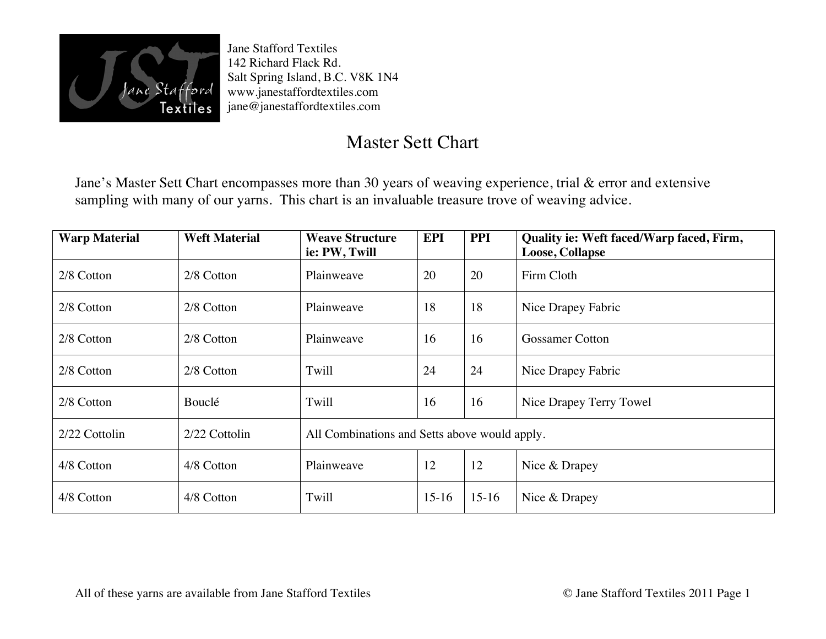

Jane Stafford Textiles 142 Richard Flack Rd. Salt Spring Island, B.C. V8K 1N4 www.janestaffordtextiles.com jane@janestaffordtextiles.com

## Master Sett Chart

Jane's Master Sett Chart encompasses more than 30 years of weaving experience, trial & error and extensive sampling with many of our yarns. This chart is an invaluable treasure trove of weaving advice.

| <b>Warp Material</b> | <b>Weft Material</b> | <b>Weave Structure</b><br>ie: PW, Twill       | <b>EPI</b> | <b>PPI</b> | Quality ie: Weft faced/Warp faced, Firm,<br>Loose, Collapse |  |
|----------------------|----------------------|-----------------------------------------------|------------|------------|-------------------------------------------------------------|--|
| 2/8 Cotton           | 2/8 Cotton           | Plainweave                                    | 20         | 20         | Firm Cloth                                                  |  |
| 2/8 Cotton           | 2/8 Cotton           | Plainweave                                    | 18         | 18         | Nice Drapey Fabric                                          |  |
| 2/8 Cotton           | 2/8 Cotton           | Plainweave                                    | 16         | 16         | <b>Gossamer Cotton</b>                                      |  |
| 2/8 Cotton           | 2/8 Cotton           | Twill                                         | 24         | 24         | Nice Drapey Fabric                                          |  |
| 2/8 Cotton           | Bouclé               | Twill                                         | 16         | 16         | Nice Drapey Terry Towel                                     |  |
| $2/22$ Cottolin      | 2/22 Cottolin        | All Combinations and Setts above would apply. |            |            |                                                             |  |
| 4/8 Cotton           | 4/8 Cotton           | Plainweave                                    | 12         | 12         | Nice & Drapey                                               |  |
| 4/8 Cotton           | 4/8 Cotton           | Twill                                         | $15-16$    | $15-16$    | Nice & Drapey                                               |  |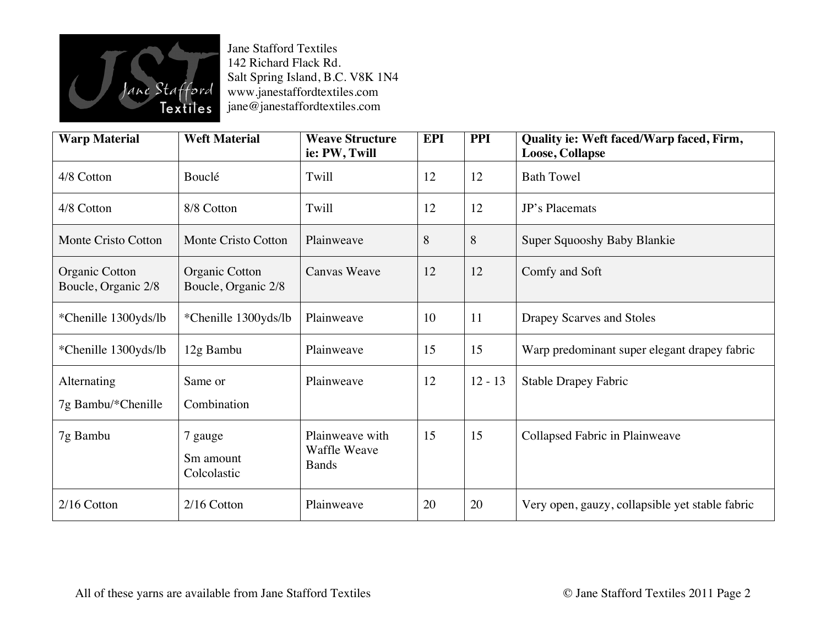

142 Richard Flack Rd. Salt Spring Island, B.C. V8K 1N4 www.janestaffordtextiles.com jane@janestaffordtextiles.com

| <b>Warp Material</b>                  | <b>Weft Material</b>                  | <b>Weave Structure</b><br>ie: PW, Twill         | <b>EPI</b> | <b>PPI</b> | Quality ie: Weft faced/Warp faced, Firm,<br><b>Loose, Collapse</b> |
|---------------------------------------|---------------------------------------|-------------------------------------------------|------------|------------|--------------------------------------------------------------------|
| 4/8 Cotton                            | Bouclé                                | Twill                                           | 12         | 12         | <b>Bath Towel</b>                                                  |
| 4/8 Cotton                            | 8/8 Cotton                            | Twill                                           | 12         | 12         | JP's Placemats                                                     |
| <b>Monte Cristo Cotton</b>            | <b>Monte Cristo Cotton</b>            | Plainweave                                      | 8          | 8          | <b>Super Squooshy Baby Blankie</b>                                 |
| Organic Cotton<br>Boucle, Organic 2/8 | Organic Cotton<br>Boucle, Organic 2/8 | <b>Canvas Weave</b>                             | 12         | 12         | Comfy and Soft                                                     |
| *Chenille 1300yds/lb                  | *Chenille 1300yds/lb                  | Plainweave                                      | 10         | 11         | <b>Drapey Scarves and Stoles</b>                                   |
| *Chenille 1300yds/lb                  | 12g Bambu                             | Plainweave                                      | 15         | 15         | Warp predominant super elegant drapey fabric                       |
| Alternating<br>7g Bambu/*Chenille     | Same or<br>Combination                | Plainweave                                      | 12         | $12 - 13$  | <b>Stable Drapey Fabric</b>                                        |
| 7g Bambu                              | 7 gauge<br>Sm amount<br>Colcolastic   | Plainweave with<br>Waffle Weave<br><b>Bands</b> | 15         | 15         | Collapsed Fabric in Plainweave                                     |
| $2/16$ Cotton                         | 2/16 Cotton                           | Plainweave                                      | 20         | 20         | Very open, gauzy, collapsible yet stable fabric                    |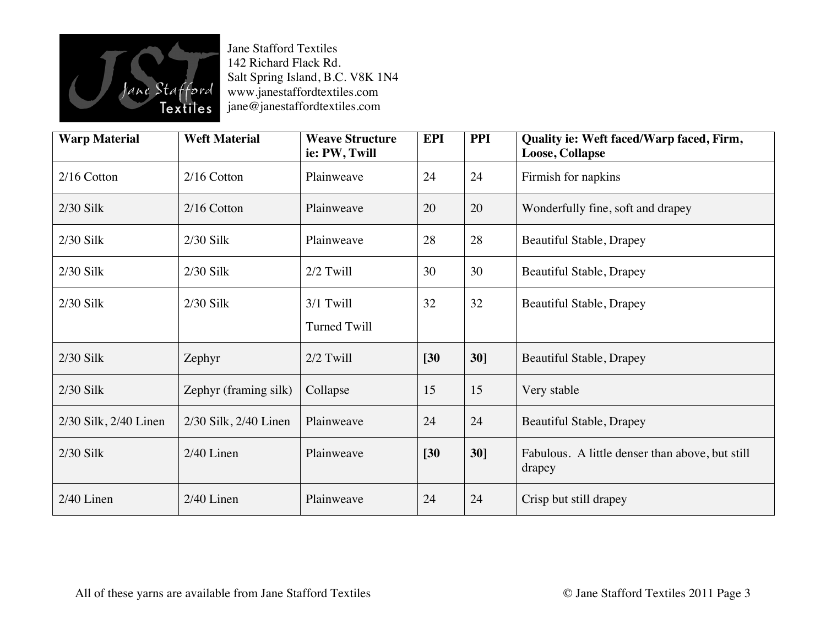

142 Richard Flack Rd. Salt Spring Island, B.C. V8K 1N4 www.janestaffordtextiles.com jane@janestaffordtextiles.com

| <b>Warp Material</b>  | <b>Weft Material</b>  | <b>Weave Structure</b><br>ie: PW, Twill | <b>EPI</b>  | <b>PPI</b> | Quality ie: Weft faced/Warp faced, Firm,<br>Loose, Collapse |
|-----------------------|-----------------------|-----------------------------------------|-------------|------------|-------------------------------------------------------------|
| $2/16$ Cotton         | $2/16$ Cotton         | Plainweave                              | 24          | 24         | Firmish for napkins                                         |
| $2/30$ Silk           | $2/16$ Cotton         | Plainweave                              | 20          | 20         | Wonderfully fine, soft and drapey                           |
| $2/30$ Silk           | $2/30$ Silk           | Plainweave                              | 28          | 28         | <b>Beautiful Stable, Drapey</b>                             |
| $2/30$ Silk           | $2/30$ Silk           | 2/2 Twill                               | 30          | 30         | <b>Beautiful Stable, Drapey</b>                             |
| $2/30$ Silk           | $2/30$ Silk           | 3/1 Twill                               | 32          | 32         | <b>Beautiful Stable, Drapey</b>                             |
|                       |                       | Turned Twill                            |             |            |                                                             |
| $2/30$ Silk           | Zephyr                | $2/2$ Twill                             | $\sqrt{30}$ | 30]        | <b>Beautiful Stable, Drapey</b>                             |
| $2/30$ Silk           | Zephyr (framing silk) | Collapse                                | 15          | 15         | Very stable                                                 |
| 2/30 Silk, 2/40 Linen | 2/30 Silk, 2/40 Linen | Plainweave                              | 24          | 24         | <b>Beautiful Stable, Drapey</b>                             |
| $2/30$ Silk           | $2/40$ Linen          | Plainweave                              | $[30]$      | 30]        | Fabulous. A little denser than above, but still<br>drapey   |
| $2/40$ Linen          | $2/40$ Linen          | Plainweave                              | 24          | 24         | Crisp but still drapey                                      |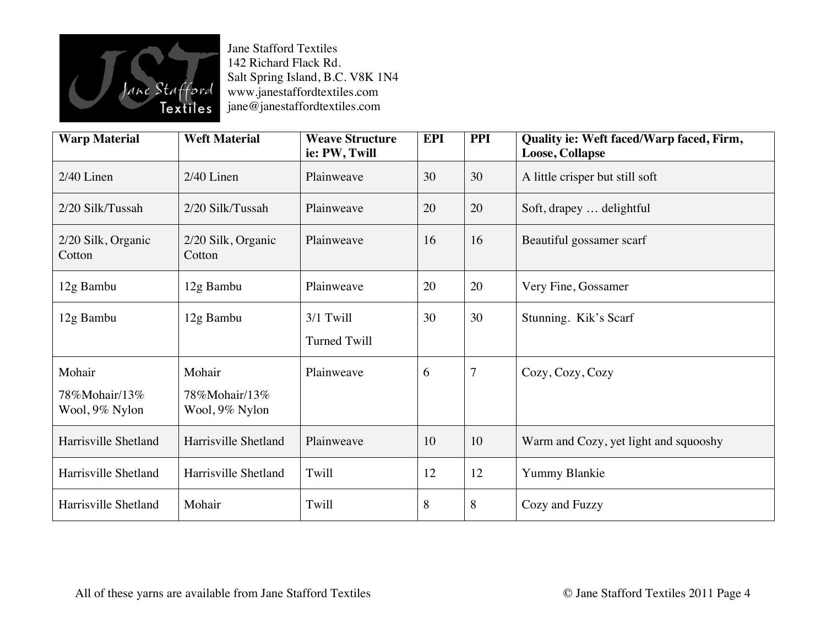

142 Richard Flack Rd. Salt Spring Island, B.C. V8K 1N4 www.janestaffordtextiles.com jane@janestaffordtextiles.com

| <b>Warp Material</b>                      | <b>Weft Material</b>                      | <b>Weave Structure</b><br>ie: PW, Twill | <b>EPI</b> | <b>PPI</b>     | Quality ie: Weft faced/Warp faced, Firm,<br><b>Loose, Collapse</b> |
|-------------------------------------------|-------------------------------------------|-----------------------------------------|------------|----------------|--------------------------------------------------------------------|
| $2/40$ Linen                              | 2/40 Linen                                | Plainweave                              | 30         | 30             | A little crisper but still soft                                    |
| 2/20 Silk/Tussah                          | 2/20 Silk/Tussah                          | Plainweave                              | 20         | 20             | Soft, drapey  delightful                                           |
| 2/20 Silk, Organic<br>Cotton              | 2/20 Silk, Organic<br>Cotton              | Plainweave                              | 16         | 16             | Beautiful gossamer scarf                                           |
| 12g Bambu                                 | 12g Bambu                                 | Plainweave                              | 20         | 20             | Very Fine, Gossamer                                                |
| 12g Bambu                                 | 12g Bambu                                 | 3/1 Twill<br>Turned Twill               | 30         | 30             | Stunning. Kik's Scarf                                              |
|                                           |                                           |                                         |            |                |                                                                    |
| Mohair<br>78%Mohair/13%<br>Wool, 9% Nylon | Mohair<br>78%Mohair/13%<br>Wool, 9% Nylon | Plainweave                              | 6          | $\overline{7}$ | Cozy, Cozy, Cozy                                                   |
| Harrisville Shetland                      | Harrisville Shetland                      | Plainweave                              | 10         | 10             | Warm and Cozy, yet light and squooshy                              |
| Harrisville Shetland                      | Harrisville Shetland                      | Twill                                   | 12         | 12             | Yummy Blankie                                                      |
| Harrisville Shetland                      | Mohair                                    | Twill                                   | 8          | 8              | Cozy and Fuzzy                                                     |